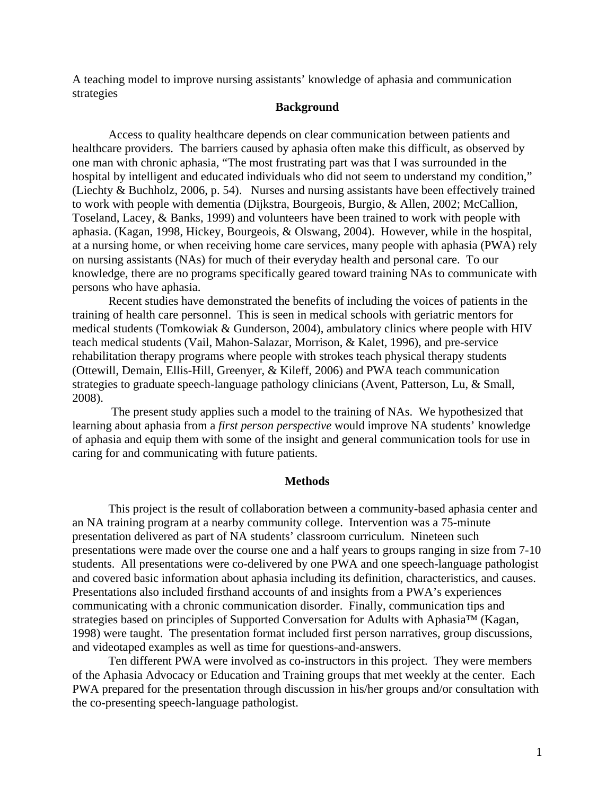A teaching model to improve nursing assistants' knowledge of aphasia and communication strategies

### **Background**

Access to quality healthcare depends on clear communication between patients and healthcare providers. The barriers caused by aphasia often make this difficult, as observed by one man with chronic aphasia, "The most frustrating part was that I was surrounded in the hospital by intelligent and educated individuals who did not seem to understand my condition," (Liechty & Buchholz, 2006, p. 54). Nurses and nursing assistants have been effectively trained to work with people with dementia (Dijkstra, Bourgeois, Burgio, & Allen, 2002; McCallion, Toseland, Lacey, & Banks, 1999) and volunteers have been trained to work with people with aphasia. (Kagan, 1998, Hickey, Bourgeois, & Olswang, 2004). However, while in the hospital, at a nursing home, or when receiving home care services, many people with aphasia (PWA) rely on nursing assistants (NAs) for much of their everyday health and personal care. To our knowledge, there are no programs specifically geared toward training NAs to communicate with persons who have aphasia.

Recent studies have demonstrated the benefits of including the voices of patients in the training of health care personnel. This is seen in medical schools with geriatric mentors for medical students (Tomkowiak & Gunderson, 2004), ambulatory clinics where people with HIV teach medical students (Vail, Mahon-Salazar, Morrison, & Kalet, 1996), and pre-service rehabilitation therapy programs where people with strokes teach physical therapy students (Ottewill, Demain, Ellis-Hill, Greenyer, & Kileff, 2006) and PWA teach communication strategies to graduate speech-language pathology clinicians (Avent, Patterson, Lu, & Small, 2008).

 The present study applies such a model to the training of NAs. We hypothesized that learning about aphasia from a *first person perspective* would improve NA students' knowledge of aphasia and equip them with some of the insight and general communication tools for use in caring for and communicating with future patients.

#### **Methods**

This project is the result of collaboration between a community-based aphasia center and an NA training program at a nearby community college. Intervention was a 75-minute presentation delivered as part of NA students' classroom curriculum. Nineteen such presentations were made over the course one and a half years to groups ranging in size from 7-10 students. All presentations were co-delivered by one PWA and one speech-language pathologist and covered basic information about aphasia including its definition, characteristics, and causes. Presentations also included firsthand accounts of and insights from a PWA's experiences communicating with a chronic communication disorder. Finally, communication tips and strategies based on principles of Supported Conversation for Adults with Aphasia™ (Kagan, 1998) were taught. The presentation format included first person narratives, group discussions, and videotaped examples as well as time for questions-and-answers.

Ten different PWA were involved as co-instructors in this project. They were members of the Aphasia Advocacy or Education and Training groups that met weekly at the center. Each PWA prepared for the presentation through discussion in his/her groups and/or consultation with the co-presenting speech-language pathologist.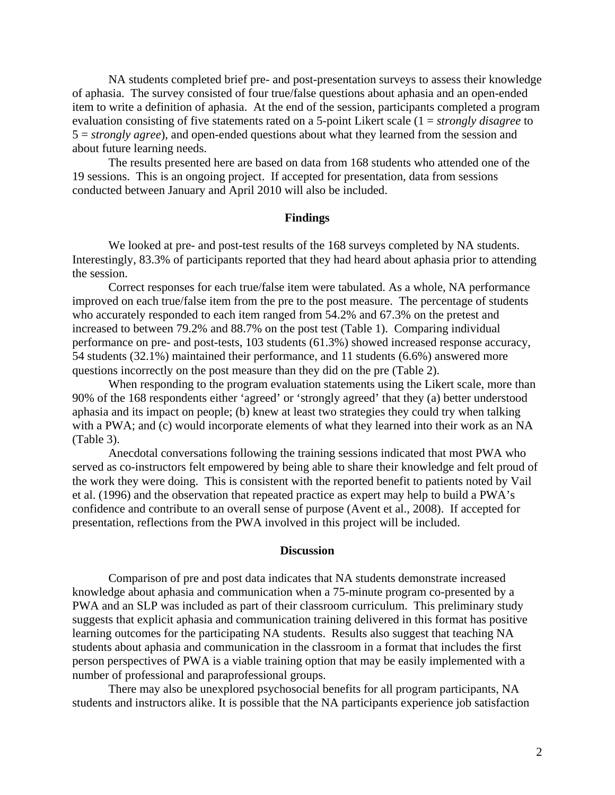NA students completed brief pre- and post-presentation surveys to assess their knowledge of aphasia. The survey consisted of four true/false questions about aphasia and an open-ended item to write a definition of aphasia. At the end of the session, participants completed a program evaluation consisting of five statements rated on a 5-point Likert scale (1 = *strongly disagree* to 5 = *strongly agree*), and open-ended questions about what they learned from the session and about future learning needs.

The results presented here are based on data from 168 students who attended one of the 19 sessions. This is an ongoing project. If accepted for presentation, data from sessions conducted between January and April 2010 will also be included.

#### **Findings**

We looked at pre- and post-test results of the 168 surveys completed by NA students. Interestingly, 83.3% of participants reported that they had heard about aphasia prior to attending the session.

 Correct responses for each true/false item were tabulated. As a whole, NA performance improved on each true/false item from the pre to the post measure. The percentage of students who accurately responded to each item ranged from 54.2% and 67.3% on the pretest and increased to between 79.2% and 88.7% on the post test (Table 1). Comparing individual performance on pre- and post-tests, 103 students (61.3%) showed increased response accuracy, 54 students (32.1%) maintained their performance, and 11 students (6.6%) answered more questions incorrectly on the post measure than they did on the pre (Table 2).

 When responding to the program evaluation statements using the Likert scale, more than 90% of the 168 respondents either 'agreed' or 'strongly agreed' that they (a) better understood aphasia and its impact on people; (b) knew at least two strategies they could try when talking with a PWA; and (c) would incorporate elements of what they learned into their work as an NA (Table 3).

 Anecdotal conversations following the training sessions indicated that most PWA who served as co-instructors felt empowered by being able to share their knowledge and felt proud of the work they were doing. This is consistent with the reported benefit to patients noted by Vail et al. (1996) and the observation that repeated practice as expert may help to build a PWA's confidence and contribute to an overall sense of purpose (Avent et al., 2008). If accepted for presentation, reflections from the PWA involved in this project will be included.

### **Discussion**

Comparison of pre and post data indicates that NA students demonstrate increased knowledge about aphasia and communication when a 75-minute program co-presented by a PWA and an SLP was included as part of their classroom curriculum. This preliminary study suggests that explicit aphasia and communication training delivered in this format has positive learning outcomes for the participating NA students. Results also suggest that teaching NA students about aphasia and communication in the classroom in a format that includes the first person perspectives of PWA is a viable training option that may be easily implemented with a number of professional and paraprofessional groups.

There may also be unexplored psychosocial benefits for all program participants, NA students and instructors alike. It is possible that the NA participants experience job satisfaction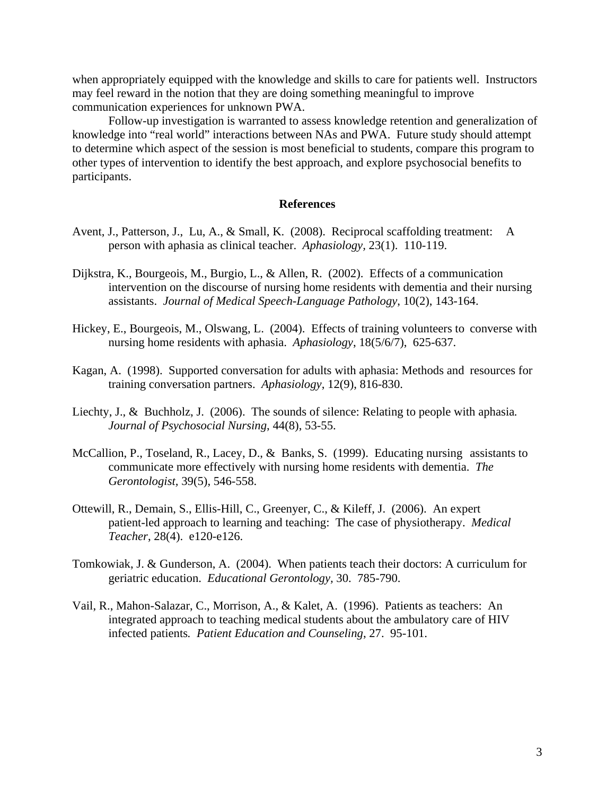when appropriately equipped with the knowledge and skills to care for patients well. Instructors may feel reward in the notion that they are doing something meaningful to improve communication experiences for unknown PWA.

Follow-up investigation is warranted to assess knowledge retention and generalization of knowledge into "real world" interactions between NAs and PWA. Future study should attempt to determine which aspect of the session is most beneficial to students, compare this program to other types of intervention to identify the best approach, and explore psychosocial benefits to participants.

### **References**

- Avent, J., Patterson, J., Lu, A., & Small, K. (2008). Reciprocal scaffolding treatment: A person with aphasia as clinical teacher. *Aphasiology,* 23(1). 110-119.
- Dijkstra, K., Bourgeois, M., Burgio, L., & Allen, R. (2002). Effects of a communication intervention on the discourse of nursing home residents with dementia and their nursing assistants. *Journal of Medical Speech-Language Pathology*, 10(2), 143-164.
- Hickey, E., Bourgeois, M., Olswang, L. (2004). Effects of training volunteers to converse with nursing home residents with aphasia. *Aphasiology*, 18(5/6/7), 625-637.
- Kagan, A. (1998). Supported conversation for adults with aphasia: Methods and resources for training conversation partners. *Aphasiology*, 12(9), 816-830.
- Liechty, J., & Buchholz, J. (2006). The sounds of silence: Relating to people with aphasia*. Journal of Psychosocial Nursing*, 44(8), 53-55.
- McCallion, P., Toseland, R., Lacey, D., & Banks, S. (1999). Educating nursing assistants to communicate more effectively with nursing home residents with dementia. *The Gerontologist,* 39(5), 546-558.
- Ottewill, R., Demain, S., Ellis-Hill, C., Greenyer, C., & Kileff, J. (2006). An expert patient-led approach to learning and teaching: The case of physiotherapy. *Medical Teacher*, 28(4). e120-e126.
- Tomkowiak, J. & Gunderson, A. (2004). When patients teach their doctors: A curriculum for geriatric education. *Educational Gerontology,* 30. 785-790.
- Vail, R., Mahon-Salazar, C., Morrison, A., & Kalet, A. (1996). Patients as teachers: An integrated approach to teaching medical students about the ambulatory care of HIV infected patients*. Patient Education and Counseling*, 27. 95-101.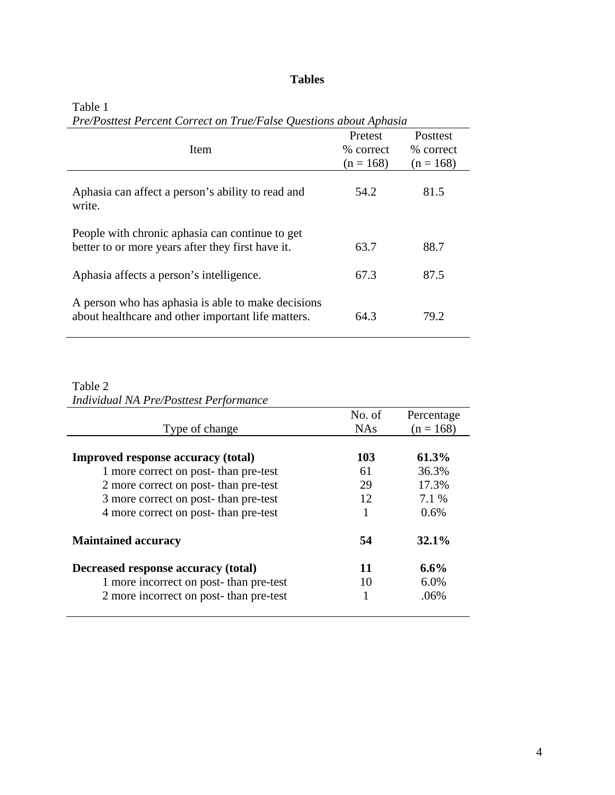# **Tables**

| Item                                                                                                     | Pretest<br>% correct<br>$(n = 168)$ | Posttest<br>% correct<br>$(n = 168)$ |
|----------------------------------------------------------------------------------------------------------|-------------------------------------|--------------------------------------|
| Aphasia can affect a person's ability to read and<br>write.                                              | 54.2                                | 81.5                                 |
| People with chronic aphasia can continue to get<br>better to or more years after they first have it.     | 63.7                                | 88.7                                 |
| Aphasia affects a person's intelligence.                                                                 | 67.3                                | 87.5                                 |
| A person who has aphasia is able to make decisions<br>about healthcare and other important life matters. | 64.3                                | 79.2                                 |

### Table 1

*Pre/Posttest Percent Correct on True/False Questions about Aphasia* 

## Table 2 *Individual NA Pre/Posttest Performance*

|                                           | No. of     | Percentage  |
|-------------------------------------------|------------|-------------|
| Type of change                            | <b>NAs</b> | $(n = 168)$ |
|                                           |            |             |
| <b>Improved response accuracy (total)</b> | 103        | 61.3%       |
| 1 more correct on post-than pre-test      | 61         | 36.3%       |
| 2 more correct on post-than pre-test      | 29         | 17.3%       |
| 3 more correct on post-than pre-test      | 12         | 7.1 %       |
| 4 more correct on post-than pre-test      |            | 0.6%        |
| <b>Maintained accuracy</b>                | 54         | 32.1%       |
| Decreased response accuracy (total)       | 11         | $6.6\%$     |
| 1 more incorrect on post-than pre-test    | 10         | 6.0%        |
| 2 more incorrect on post-than pre-test    |            | .06%        |